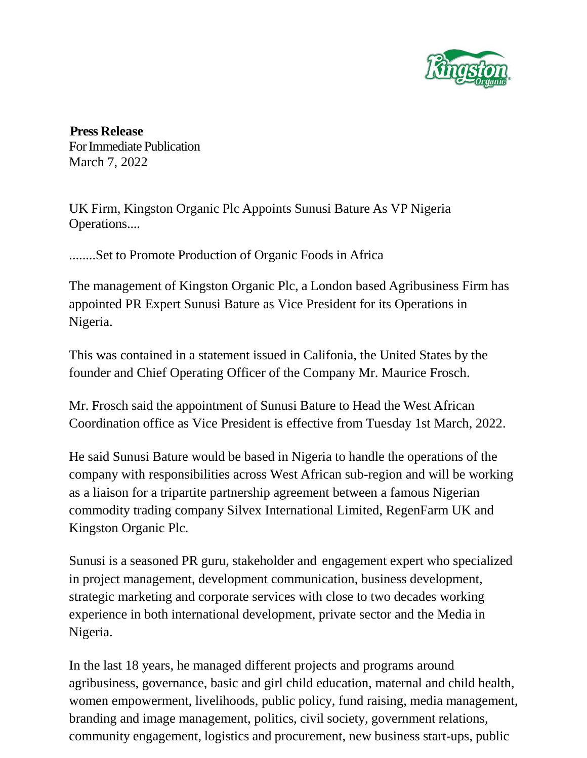

**Press Release** ForImmediate Publication March 7, 2022

UK Firm, Kingston Organic Plc Appoints Sunusi Bature As VP Nigeria Operations....

........Set to Promote Production of Organic Foods in Africa

The management of Kingston Organic Plc, a London based Agribusiness Firm has appointed PR Expert Sunusi Bature as Vice President for its Operations in Nigeria.

This was contained in a statement issued in Califonia, the United States by the founder and Chief Operating Officer of the Company Mr. Maurice Frosch.

Mr. Frosch said the appointment of Sunusi Bature to Head the West African Coordination office as Vice President is effective from Tuesday 1st March, 2022.

He said Sunusi Bature would be based in Nigeria to handle the operations of the company with responsibilities across West African sub-region and will be working as a liaison for a tripartite partnership agreement between a famous Nigerian commodity trading company Silvex International Limited, RegenFarm UK and Kingston Organic Plc.

Sunusi is a seasoned PR guru, stakeholder and engagement expert who specialized in project management, development communication, business development, strategic marketing and corporate services with close to two decades working experience in both international development, private sector and the Media in Nigeria.

In the last 18 years, he managed different projects and programs around agribusiness, governance, basic and girl child education, maternal and child health, women empowerment, livelihoods, public policy, fund raising, media management, branding and image management, politics, civil society, government relations, community engagement, logistics and procurement, new business start-ups, public